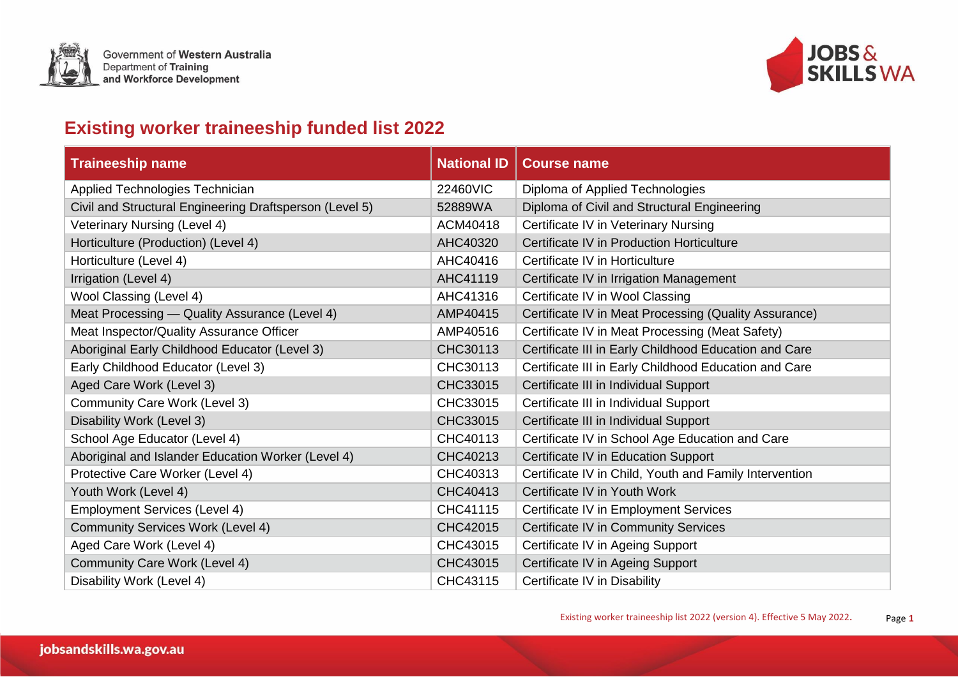



## **Existing worker traineeship funded list 2022**

| <b>Traineeship name</b>                                 | <b>National ID</b> | <b>Course name</b>                                     |
|---------------------------------------------------------|--------------------|--------------------------------------------------------|
| Applied Technologies Technician                         | 22460VIC           | Diploma of Applied Technologies                        |
| Civil and Structural Engineering Draftsperson (Level 5) | 52889WA            | Diploma of Civil and Structural Engineering            |
| Veterinary Nursing (Level 4)                            | ACM40418           | Certificate IV in Veterinary Nursing                   |
| Horticulture (Production) (Level 4)                     | AHC40320           | Certificate IV in Production Horticulture              |
| Horticulture (Level 4)                                  | AHC40416           | Certificate IV in Horticulture                         |
| Irrigation (Level 4)                                    | AHC41119           | Certificate IV in Irrigation Management                |
| Wool Classing (Level 4)                                 | AHC41316           | Certificate IV in Wool Classing                        |
| Meat Processing - Quality Assurance (Level 4)           | AMP40415           | Certificate IV in Meat Processing (Quality Assurance)  |
| Meat Inspector/Quality Assurance Officer                | AMP40516           | Certificate IV in Meat Processing (Meat Safety)        |
| Aboriginal Early Childhood Educator (Level 3)           | CHC30113           | Certificate III in Early Childhood Education and Care  |
| Early Childhood Educator (Level 3)                      | CHC30113           | Certificate III in Early Childhood Education and Care  |
| Aged Care Work (Level 3)                                | CHC33015           | Certificate III in Individual Support                  |
| Community Care Work (Level 3)                           | CHC33015           | Certificate III in Individual Support                  |
| Disability Work (Level 3)                               | CHC33015           | Certificate III in Individual Support                  |
| School Age Educator (Level 4)                           | CHC40113           | Certificate IV in School Age Education and Care        |
| Aboriginal and Islander Education Worker (Level 4)      | CHC40213           | Certificate IV in Education Support                    |
| Protective Care Worker (Level 4)                        | CHC40313           | Certificate IV in Child, Youth and Family Intervention |
| Youth Work (Level 4)                                    | CHC40413           | Certificate IV in Youth Work                           |
| <b>Employment Services (Level 4)</b>                    | CHC41115           | Certificate IV in Employment Services                  |
| <b>Community Services Work (Level 4)</b>                | CHC42015           | Certificate IV in Community Services                   |
| Aged Care Work (Level 4)                                | CHC43015           | Certificate IV in Ageing Support                       |
| Community Care Work (Level 4)                           | CHC43015           | Certificate IV in Ageing Support                       |
| Disability Work (Level 4)                               | CHC43115           | Certificate IV in Disability                           |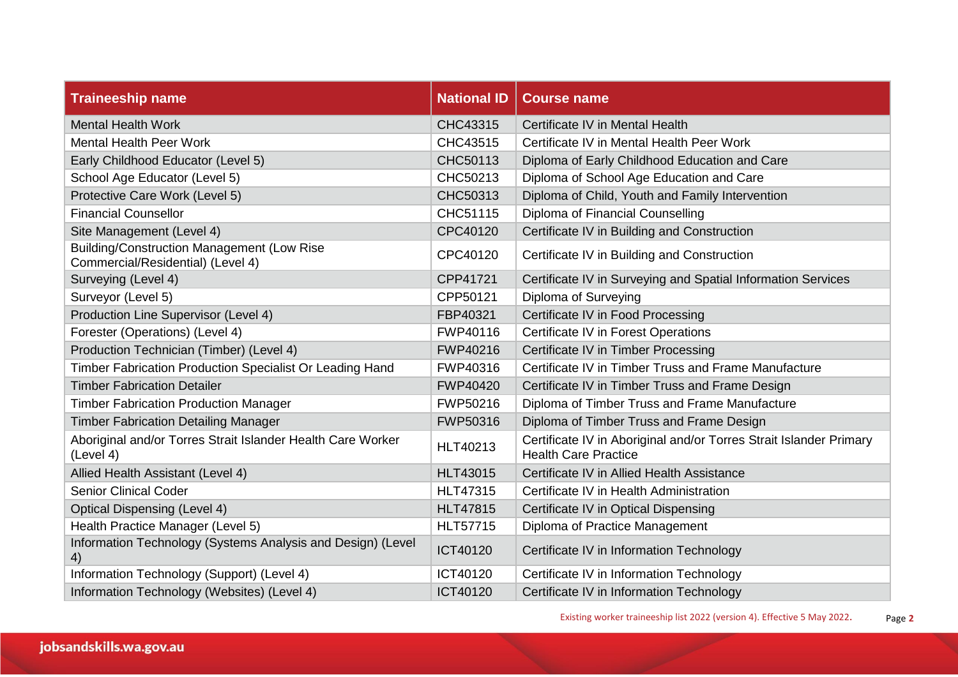| <b>Traineeship name</b>                                                                | <b>National ID</b> | <b>Course name</b>                                                                                |
|----------------------------------------------------------------------------------------|--------------------|---------------------------------------------------------------------------------------------------|
| <b>Mental Health Work</b>                                                              | CHC43315           | Certificate IV in Mental Health                                                                   |
| <b>Mental Health Peer Work</b>                                                         | CHC43515           | Certificate IV in Mental Health Peer Work                                                         |
| Early Childhood Educator (Level 5)                                                     | CHC50113           | Diploma of Early Childhood Education and Care                                                     |
| School Age Educator (Level 5)                                                          | CHC50213           | Diploma of School Age Education and Care                                                          |
| Protective Care Work (Level 5)                                                         | CHC50313           | Diploma of Child, Youth and Family Intervention                                                   |
| <b>Financial Counsellor</b>                                                            | CHC51115           | Diploma of Financial Counselling                                                                  |
| Site Management (Level 4)                                                              | CPC40120           | Certificate IV in Building and Construction                                                       |
| <b>Building/Construction Management (Low Rise</b><br>Commercial/Residential) (Level 4) | CPC40120           | Certificate IV in Building and Construction                                                       |
| Surveying (Level 4)                                                                    | CPP41721           | Certificate IV in Surveying and Spatial Information Services                                      |
| Surveyor (Level 5)                                                                     | CPP50121           | Diploma of Surveying                                                                              |
| Production Line Supervisor (Level 4)                                                   | FBP40321           | Certificate IV in Food Processing                                                                 |
| Forester (Operations) (Level 4)                                                        | FWP40116           | Certificate IV in Forest Operations                                                               |
| Production Technician (Timber) (Level 4)                                               | FWP40216           | Certificate IV in Timber Processing                                                               |
| Timber Fabrication Production Specialist Or Leading Hand                               | FWP40316           | Certificate IV in Timber Truss and Frame Manufacture                                              |
| <b>Timber Fabrication Detailer</b>                                                     | FWP40420           | Certificate IV in Timber Truss and Frame Design                                                   |
| <b>Timber Fabrication Production Manager</b>                                           | FWP50216           | Diploma of Timber Truss and Frame Manufacture                                                     |
| <b>Timber Fabrication Detailing Manager</b>                                            | FWP50316           | Diploma of Timber Truss and Frame Design                                                          |
| Aboriginal and/or Torres Strait Islander Health Care Worker<br>(Level 4)               | <b>HLT40213</b>    | Certificate IV in Aboriginal and/or Torres Strait Islander Primary<br><b>Health Care Practice</b> |
| Allied Health Assistant (Level 4)                                                      | <b>HLT43015</b>    | Certificate IV in Allied Health Assistance                                                        |
| <b>Senior Clinical Coder</b>                                                           | <b>HLT47315</b>    | Certificate IV in Health Administration                                                           |
| <b>Optical Dispensing (Level 4)</b>                                                    | <b>HLT47815</b>    | Certificate IV in Optical Dispensing                                                              |
| Health Practice Manager (Level 5)                                                      | <b>HLT57715</b>    | Diploma of Practice Management                                                                    |
| Information Technology (Systems Analysis and Design) (Level<br>4)                      | ICT40120           | Certificate IV in Information Technology                                                          |
| Information Technology (Support) (Level 4)                                             | ICT40120           | Certificate IV in Information Technology                                                          |
| Information Technology (Websites) (Level 4)                                            | ICT40120           | Certificate IV in Information Technology                                                          |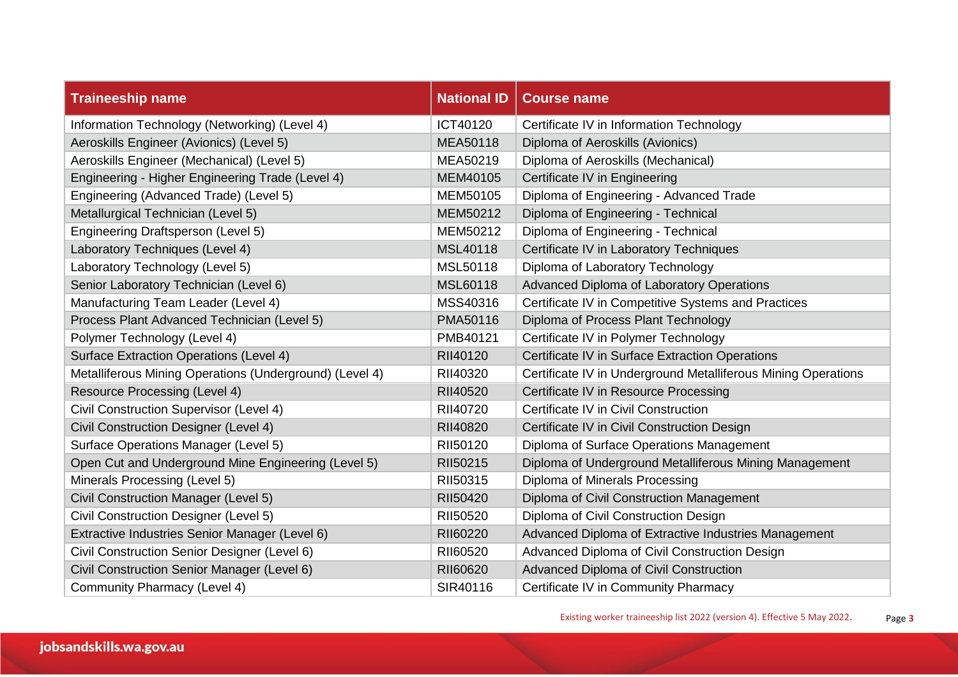| <b>Traineeship name</b>                                 | <b>National ID</b> | <b>Course name</b>                                            |
|---------------------------------------------------------|--------------------|---------------------------------------------------------------|
| Information Technology (Networking) (Level 4)           | ICT40120           | Certificate IV in Information Technology                      |
| Aeroskills Engineer (Avionics) (Level 5)                | MEA50118           | Diploma of Aeroskills (Avionics)                              |
| Aeroskills Engineer (Mechanical) (Level 5)              | MEA50219           | Diploma of Aeroskills (Mechanical)                            |
| Engineering - Higher Engineering Trade (Level 4)        | MEM40105           | Certificate IV in Engineering                                 |
| Engineering (Advanced Trade) (Level 5)                  | MEM50105           | Diploma of Engineering - Advanced Trade                       |
| Metallurgical Technician (Level 5)                      | MEM50212           | Diploma of Engineering - Technical                            |
| Engineering Draftsperson (Level 5)                      | MEM50212           | Diploma of Engineering - Technical                            |
| Laboratory Techniques (Level 4)                         | MSL40118           | Certificate IV in Laboratory Techniques                       |
| Laboratory Technology (Level 5)                         | MSL50118           | Diploma of Laboratory Technology                              |
| Senior Laboratory Technician (Level 6)                  | MSL60118           | Advanced Diploma of Laboratory Operations                     |
| Manufacturing Team Leader (Level 4)                     | MSS40316           | Certificate IV in Competitive Systems and Practices           |
| Process Plant Advanced Technician (Level 5)             | PMA50116           | Diploma of Process Plant Technology                           |
| Polymer Technology (Level 4)                            | PMB40121           | Certificate IV in Polymer Technology                          |
| <b>Surface Extraction Operations (Level 4)</b>          | RII40120           | Certificate IV in Surface Extraction Operations               |
| Metalliferous Mining Operations (Underground) (Level 4) | RII40320           | Certificate IV in Underground Metalliferous Mining Operations |
| Resource Processing (Level 4)                           | RII40520           | Certificate IV in Resource Processing                         |
| Civil Construction Supervisor (Level 4)                 | RII40720           | Certificate IV in Civil Construction                          |
| Civil Construction Designer (Level 4)                   | RII40820           | Certificate IV in Civil Construction Design                   |
| Surface Operations Manager (Level 5)                    | RII50120           | Diploma of Surface Operations Management                      |
| Open Cut and Underground Mine Engineering (Level 5)     | RII50215           | Diploma of Underground Metalliferous Mining Management        |
| Minerals Processing (Level 5)                           | RII50315           | Diploma of Minerals Processing                                |
| Civil Construction Manager (Level 5)                    | RII50420           | Diploma of Civil Construction Management                      |
| Civil Construction Designer (Level 5)                   | RII50520           | Diploma of Civil Construction Design                          |
| Extractive Industries Senior Manager (Level 6)          | RII60220           | Advanced Diploma of Extractive Industries Management          |
| Civil Construction Senior Designer (Level 6)            | RII60520           | Advanced Diploma of Civil Construction Design                 |
| Civil Construction Senior Manager (Level 6)             | RII60620           | Advanced Diploma of Civil Construction                        |
| Community Pharmacy (Level 4)                            | SIR40116           | Certificate IV in Community Pharmacy                          |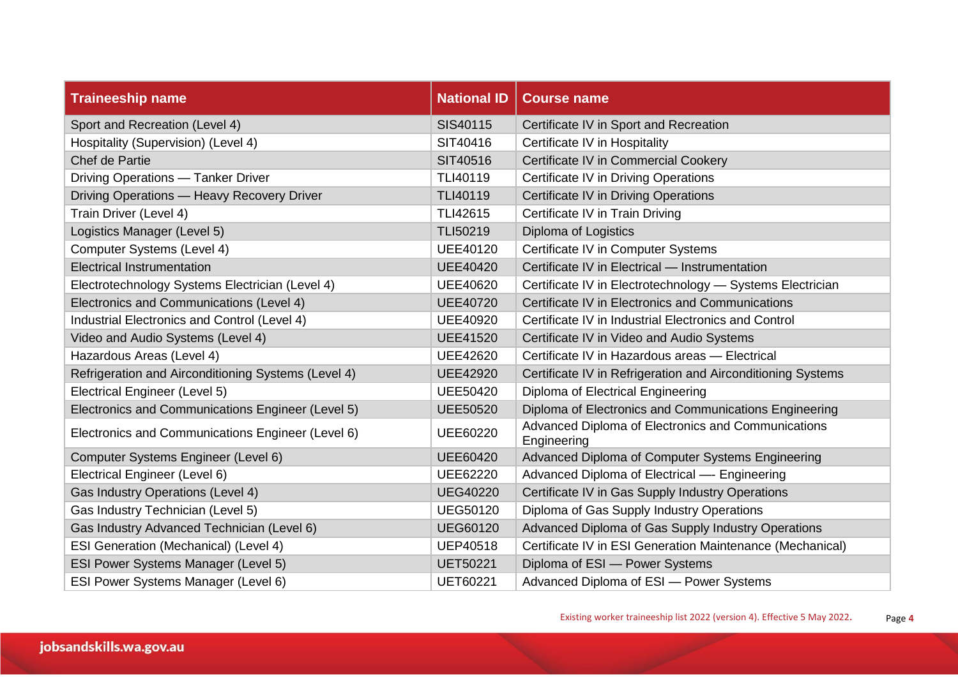| <b>Traineeship name</b>                             | <b>National ID</b> | <b>Course name</b>                                                |
|-----------------------------------------------------|--------------------|-------------------------------------------------------------------|
| Sport and Recreation (Level 4)                      | SIS40115           | Certificate IV in Sport and Recreation                            |
| Hospitality (Supervision) (Level 4)                 | SIT40416           | Certificate IV in Hospitality                                     |
| Chef de Partie                                      | SIT40516           | Certificate IV in Commercial Cookery                              |
| Driving Operations - Tanker Driver                  | TLI40119           | Certificate IV in Driving Operations                              |
| Driving Operations - Heavy Recovery Driver          | TLI40119           | Certificate IV in Driving Operations                              |
| Train Driver (Level 4)                              | TLI42615           | Certificate IV in Train Driving                                   |
| Logistics Manager (Level 5)                         | TLI50219           | Diploma of Logistics                                              |
| Computer Systems (Level 4)                          | <b>UEE40120</b>    | Certificate IV in Computer Systems                                |
| <b>Electrical Instrumentation</b>                   | <b>UEE40420</b>    | Certificate IV in Electrical - Instrumentation                    |
| Electrotechnology Systems Electrician (Level 4)     | <b>UEE40620</b>    | Certificate IV in Electrotechnology - Systems Electrician         |
| Electronics and Communications (Level 4)            | <b>UEE40720</b>    | Certificate IV in Electronics and Communications                  |
| Industrial Electronics and Control (Level 4)        | <b>UEE40920</b>    | Certificate IV in Industrial Electronics and Control              |
| Video and Audio Systems (Level 4)                   | <b>UEE41520</b>    | Certificate IV in Video and Audio Systems                         |
| Hazardous Areas (Level 4)                           | <b>UEE42620</b>    | Certificate IV in Hazardous areas - Electrical                    |
| Refrigeration and Airconditioning Systems (Level 4) | <b>UEE42920</b>    | Certificate IV in Refrigeration and Airconditioning Systems       |
| Electrical Engineer (Level 5)                       | <b>UEE50420</b>    | Diploma of Electrical Engineering                                 |
| Electronics and Communications Engineer (Level 5)   | <b>UEE50520</b>    | Diploma of Electronics and Communications Engineering             |
| Electronics and Communications Engineer (Level 6)   | UEE60220           | Advanced Diploma of Electronics and Communications<br>Engineering |
| Computer Systems Engineer (Level 6)                 | <b>UEE60420</b>    | Advanced Diploma of Computer Systems Engineering                  |
| Electrical Engineer (Level 6)                       | UEE62220           | Advanced Diploma of Electrical - Engineering                      |
| Gas Industry Operations (Level 4)                   | <b>UEG40220</b>    | Certificate IV in Gas Supply Industry Operations                  |
| Gas Industry Technician (Level 5)                   | <b>UEG50120</b>    | Diploma of Gas Supply Industry Operations                         |
| Gas Industry Advanced Technician (Level 6)          | <b>UEG60120</b>    | Advanced Diploma of Gas Supply Industry Operations                |
| ESI Generation (Mechanical) (Level 4)               | <b>UEP40518</b>    | Certificate IV in ESI Generation Maintenance (Mechanical)         |
| ESI Power Systems Manager (Level 5)                 | <b>UET50221</b>    | Diploma of ESI - Power Systems                                    |
| ESI Power Systems Manager (Level 6)                 | <b>UET60221</b>    | Advanced Diploma of ESI - Power Systems                           |